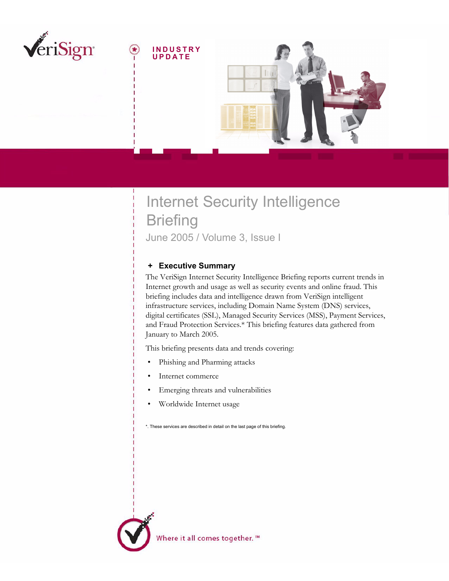

# Internet Security Intelligence **Briefing** June 2005 / Volume 3, Issue I

# <span id="page-0-0"></span> **+ Executive Summary**

The VeriSign Internet Security Intelligence Briefing reports current trends in Internet growth and usage as well as security events and online fraud. This briefing includes data and intelligence drawn from VeriSign intelligent infrastructure services, including Domain Name System (DNS) services, digital certificates (SSL), Managed Security Services (MSS), Payment Services, and Fraud Protection Services.\* This briefing features data gathered from January to March 2005.

This briefing presents data and trends covering:

- Phishing and Pharming attacks
- Internet commerce
- Emerging threats and vulnerabilities
- Worldwide Internet usage

\*. These services are described in detail on the last page of this briefing.

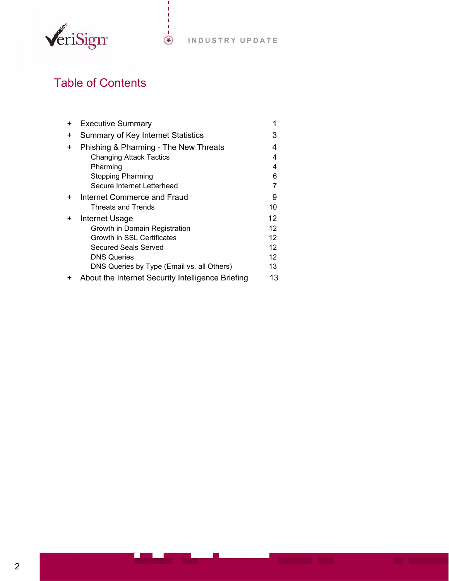

# Table of Contents

| + | <b>Executive Summary</b>                          | 1   |
|---|---------------------------------------------------|-----|
| + | Summary of Key Internet Statistics                | 3   |
| + | Phishing & Pharming - The New Threats             | 4   |
|   | <b>Changing Attack Tactics</b>                    | 4   |
|   | Pharming                                          | 4   |
|   | <b>Stopping Pharming</b>                          | 6   |
|   | Secure Internet Letterhead                        |     |
| ÷ | Internet Commerce and Fraud                       | 9   |
|   | Threats and Trends                                | 10  |
| + | Internet Usage                                    | 12  |
|   | Growth in Domain Registration                     | 12  |
|   | Growth in SSL Certificates                        | 12  |
|   | Secured Seals Served                              | 12  |
|   | <b>DNS Queries</b>                                | 12. |
|   | DNS Queries by Type (Email vs. all Others)        | 13. |
|   | About the Internet Security Intelligence Briefing | 13  |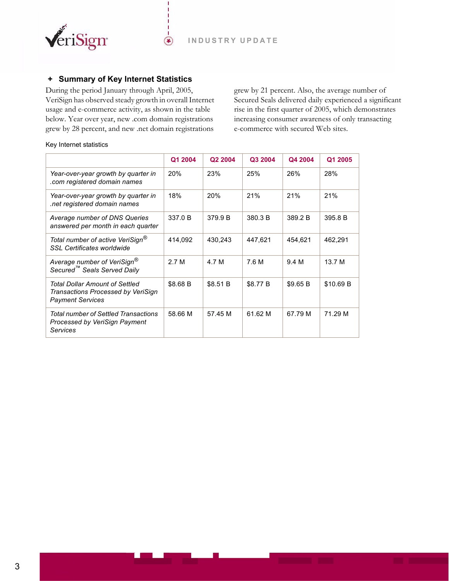

# <span id="page-2-0"></span> **+ Summary of Key Internet Statistics**

During the period January through April, 2005, VeriSign has observed steady growth in overall Internet usage and e-commerce activity, as shown in the table below. Year over year, new .com domain registrations grew by 28 percent, and new .net domain registrations

 $(\bullet)$ 

grew by 21 percent. Also, the average number of Secured Seals delivered daily experienced a significant rise in the first quarter of 2005, which demonstrates increasing consumer awareness of only transacting e-commerce with secured Web sites.

#### Key Internet statistics

|                                                                                                 | Q1 2004    | Q2 2004  | Q3 2004  | Q4 2004  | Q1 2005   |
|-------------------------------------------------------------------------------------------------|------------|----------|----------|----------|-----------|
| Year-over-year growth by quarter in<br>com registered domain names.                             | <b>20%</b> | 23%      | 25%      | 26%      | 28%       |
| Year-over-year growth by quarter in<br>net registered domain names.                             | 18%        | 20%      | 21%      | 21%      | 21%       |
| Average number of DNS Queries<br>answered per month in each quarter                             | 337.0 B    | 379.9 B  | 380.3 B  | 389.2 B  | 395.8 B   |
| Total number of active VeriSign®<br><b>SSL Certificates worldwide</b>                           | 414,092    | 430,243  | 447,621  | 454,621  | 462,291   |
| Average number of VeriSign®<br>Secured <sup>™</sup> Seals Served Daily                          | 2.7 M      | 4.7 M    | 7.6 M    | 9.4 M    | 13.7 M    |
| Total Dollar Amount of Settled<br>Transactions Processed by VeriSign<br><b>Payment Services</b> | \$8.68 B   | \$8.51 B | \$8.77 B | \$9.65 B | \$10.69 B |
| Total number of Settled Transactions<br>Processed by VeriSign Payment<br>Services               | 58.66 M    | 57.45 M  | 61.62 M  | 67.79 M  | 71.29 M   |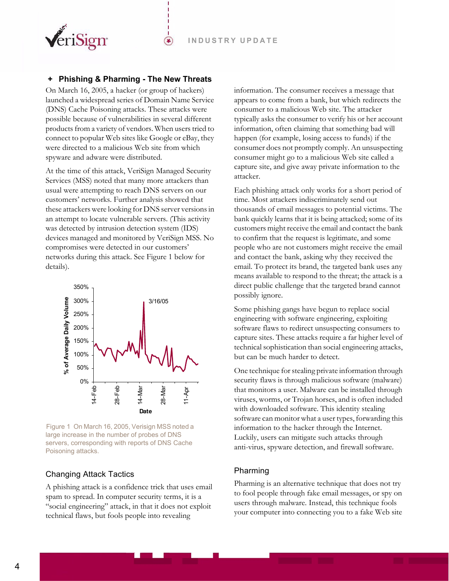

## <span id="page-3-0"></span> **+ Phishing & Pharming - The New Threats**

⊛

On March 16, 2005, a hacker (or group of hackers) launched a widespread series of Domain Name Service (DNS) Cache Poisoning attacks. These attacks were possible because of vulnerabilities in several different products from a variety of vendors. When users tried to connect to popular Web sites like Google or eBay, they were directed to a malicious Web site from which spyware and adware were distributed.

At the time of this attack, VeriSign Managed Security Services (MSS) noted that many more attackers than usual were attempting to reach DNS servers on our customers' networks. Further analysis showed that these attackers were looking for DNS server versions in an attempt to locate vulnerable servers. (This activity was detected by intrusion detection system (IDS) devices managed and monitored by VeriSign MSS. No compromises were detected in our customers' networks during this attack. See [Figure 1](#page-3-3) below for details).



<span id="page-3-3"></span>Figure 1 On March 16, 2005, Verisign MSS noted a large increase in the number of probes of DNS servers, corresponding with reports of DNS Cache Poisoning attacks.

## <span id="page-3-1"></span>Changing Attack Tactics

A phishing attack is a confidence trick that uses email spam to spread. In computer security terms, it is a "social engineering" attack, in that it does not exploit technical flaws, but fools people into revealing

information. The consumer receives a message that appears to come from a bank, but which redirects the consumer to a malicious Web site. The attacker typically asks the consumer to verify his or her account information, often claiming that something bad will happen (for example, losing access to funds) if the consumer does not promptly comply. An unsuspecting consumer might go to a malicious Web site called a capture site, and give away private information to the attacker.

Each phishing attack only works for a short period of time. Most attackers indiscriminately send out thousands of email messages to potential victims. The bank quickly learns that it is being attacked; some of its customers might receive the email and contact the bank to confirm that the request is legitimate, and some people who are not customers might receive the email and contact the bank, asking why they received the email. To protect its brand, the targeted bank uses any means available to respond to the threat; the attack is a direct public challenge that the targeted brand cannot possibly ignore.

Some phishing gangs have begun to replace social engineering with software engineering, exploiting software flaws to redirect unsuspecting consumers to capture sites. These attacks require a far higher level of technical sophistication than social engineering attacks, but can be much harder to detect.

One technique for stealing private information through security flaws is through malicious software (malware) that monitors a user. Malware can be installed through viruses, worms, or Trojan horses, and is often included with downloaded software. This identity stealing software can monitor what a user types, forwarding this information to the hacker through the Internet. Luckily, users can mitigate such attacks through anti-virus, spyware detection, and firewall software.

## <span id="page-3-2"></span>Pharming

Pharming is an alternative technique that does not try to fool people through fake email messages, or spy on users through malware. Instead, this technique fools your computer into connecting you to a fake Web site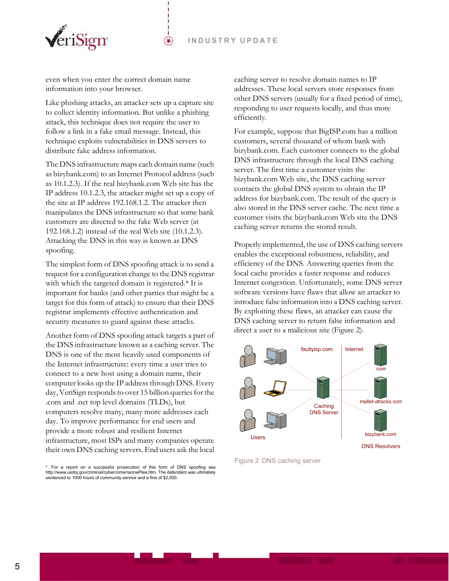

even when you enter the correct domain name information into your browser.

Like phishing attacks, an attacker sets up a capture site to collect identity information. But unlike a phishing attack, this technique does not require the user to follow a link in a fake email message. Instead, this technique exploits vulnerabilities in DNS servers to distribute fake address information.

 $(\bullet)$ 

The DNS infrastructure maps each domain name (such as bizybank.com) to an Internet Protocol address (such as 10.1.2.3). If the real bizybank.com Web site has the IP address 10.1.2.3, the attacker might set up a copy of the site at IP address 192.168.1.2. The attacker then manipulates the DNS infrastructure so that some bank customers are directed to the fake Web server (at 192.168.1.2) instead of the real Web site (10.1.2.3). Attacking the DNS in this way is known as DNS spoofing.

The simplest form of DNS spoofing attack is to send a request for a configuration change to the DNS registrar with which the targeted domain is registered.\* It is important for banks (and other parties that might be a target for this form of attack) to ensure that their DNS registrar implements effective authentication and security measures to guard against these attacks.

Another form of DNS spoofing attack targets a part of the DNS infrastructure known as a caching server. The DNS is one of the most heavily used components of the Internet infrastructure: every time a user tries to connect to a new host using a domain name, their computer looks up the IP address through DNS. Every day, VeriSign responds to over 15 billion queries for the .com and .net top level domains (TLDs), but computers resolve many, many more addresses each day. To improve performance for end users and provide a more robust and resilient Internet infrastructure, most ISPs and many companies operate their own DNS caching servers. End users ask the local caching server to resolve domain names to IP addresses. These local servers store responses from other DNS servers (usually for a fixed period of time), responding to user requests locally, and thus more efficiently.

For example, suppose that BigISP.com has a million customers, several thousand of whom bank with bizybank.com. Each customer connects to the global DNS infrastructure through the local DNS caching server. The first time a customer visits the bizybank.com Web site, the DNS caching server contacts the global DNS system to obtain the IP address for bizybank.com. The result of the query is also stored in the DNS server cache. The next time a customer visits the bizybank.com Web site the DNS caching server returns the stored result.

Properly implemented, the use of DNS caching servers enables the exceptional robustness, reliability, and efficiency of the DNS. Answering queries from the local cache provides a faster response and reduces Internet congestion. Unfortunately, some DNS server software versions have flaws that allow an attacker to introduce false information into a DNS caching server. By exploiting these flaws, an attacker can cause the DNS caching server to return false information and direct a user to a malicious site ([Figure 2\)](#page-4-0).



<span id="page-4-0"></span>Figure 2 DNS caching server

<sup>\*.</sup> For a report on a successful prosecution of this form of DNS spoofing see http://www.usdoj.gov/criminal/cybercrime/racinePlea.htm. The defendant was ultimately sentenced to 1000 hours of community service and a fine of \$2,000.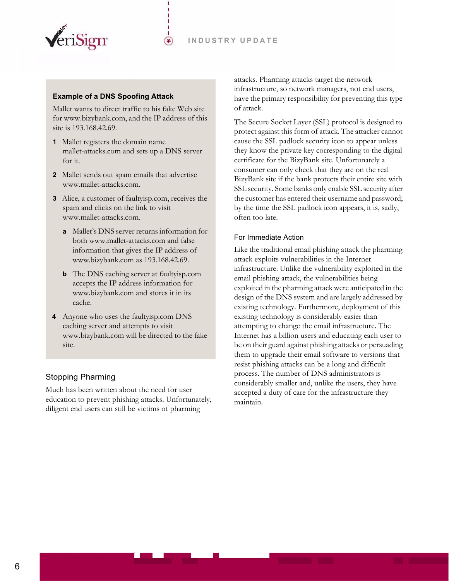

## **Example of a DNS Spoofing Attack**

Mallet wants to direct traffic to his fake Web site for www.bizybank.com, and the IP address of this site is 193.168.42.69.

 $(\bullet)$ 

- **1** Mallet registers the domain name mallet-attacks.com and sets up a DNS server for it.
- **2** Mallet sends out spam emails that advertise www.mallet-attacks.com.
- **3** Alice, a customer of faultyisp.com, receives the spam and clicks on the link to visit www.mallet-attacks.com.
	- **a** Mallet's DNS server returns information for both www.mallet-attacks.com and false information that gives the IP address of www.bizybank.com as 193.168.42.69.
	- **b** The DNS caching server at faultyisp.com accepts the IP address information for www.bizybank.com and stores it in its cache.
- **4** Anyone who uses the faultyisp.com DNS caching server and attempts to visit www.bizybank.com will be directed to the fake site.

# <span id="page-5-0"></span>Stopping Pharming

Much has been written about the need for user education to prevent phishing attacks. Unfortunately, diligent end users can still be victims of pharming

attacks. Pharming attacks target the network infrastructure, so network managers, not end users, have the primary responsibility for preventing this type of attack.

The Secure Socket Layer (SSL) protocol is designed to protect against this form of attack. The attacker cannot cause the SSL padlock security icon to appear unless they know the private key corresponding to the digital certificate for the BizyBank site. Unfortunately a consumer can only check that they are on the real BizyBank site if the bank protects their entire site with SSL security. Some banks only enable SSL security after the customer has entered their username and password; by the time the SSL padlock icon appears, it is, sadly, often too late.

#### For Immediate Action

Like the traditional email phishing attack the pharming attack exploits vulnerabilities in the Internet infrastructure. Unlike the vulnerability exploited in the email phishing attack, the vulnerabilities being exploited in the pharming attack were anticipated in the design of the DNS system and are largely addressed by existing technology. Furthermore, deployment of this existing technology is considerably easier than attempting to change the email infrastructure. The Internet has a billion users and educating each user to be on their guard against phishing attacks or persuading them to upgrade their email software to versions that resist phishing attacks can be a long and difficult process. The number of DNS administrators is considerably smaller and, unlike the users, they have accepted a duty of care for the infrastructure they maintain.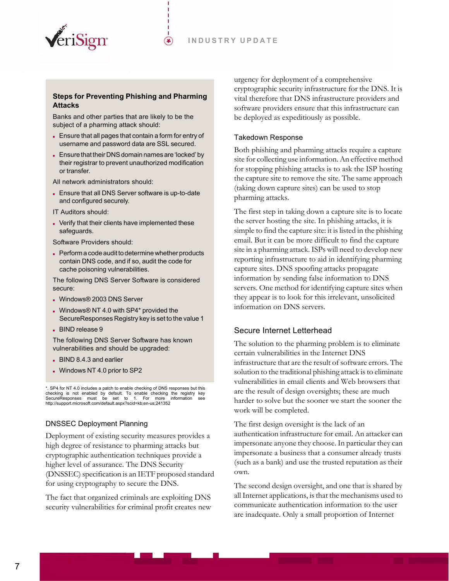

#### **Steps for Preventing Phishing and Pharming Attacks**

⊕

Banks and other parties that are likely to be the subject of a pharming attack should:

- Ensure that all pages that contain a form for entry of username and password data are SSL secured.
- Ensure that their DNS domain names are 'locked' by their registrar to prevent unauthorized modification or transfer.

All network administrators should:

 Ensure that all DNS Server software is up-to-date and configured securely.

IT Auditors should:

 Verify that their clients have implemented these safeguards.

Software Providers should:

Perform a code audit to determine whether products contain DNS code, and if so, audit the code for cache poisoning vulnerabilities.

The following DNS Server Software is considered secure:

- Windows® 2003 DNS Server
- Windows® NT 4.0 with SP4\* provided the SecureResponses Registry key is set to the value 1
- BIND release 9

The following DNS Server Software has known vulnerabilities and should be upgraded:

- BIND 8.4.3 and earlier
- Windows NT 4.0 prior to SP2

. SP4 for NT 4.0 includes a patch to enable checking of DNS responses but this checking is not enabled by default. To enable checking the registry key<br>SecureResponses must be set to 1. For more information see<br>http://support.microsoft.com/default.aspx?scid=kb;en-us;241352

## DNSSEC Deployment Planning

Deployment of existing security measures provides a high degree of resistance to pharming attacks but cryptographic authentication techniques provide a higher level of assurance. The DNS Security (DNSSEC) specification is an IETF proposed standard for using cryptography to secure the DNS.

The fact that organized criminals are exploiting DNS security vulnerabilities for criminal profit creates new urgency for deployment of a comprehensive cryptographic security infrastructure for the DNS. It is vital therefore that DNS infrastructure providers and software providers ensure that this infrastructure can be deployed as expeditiously as possible.

## Takedown Response

Both phishing and pharming attacks require a capture site for collecting use information. An effective method for stopping phishing attacks is to ask the ISP hosting the capture site to remove the site. The same approach (taking down capture sites) can be used to stop pharming attacks.

The first step in taking down a capture site is to locate the server hosting the site. In phishing attacks, it is simple to find the capture site: it is listed in the phishing email. But it can be more difficult to find the capture site in a pharming attack. ISPs will need to develop new reporting infrastructure to aid in identifying pharming capture sites. DNS spoofing attacks propagate information by sending false information to DNS servers. One method for identifying capture sites when they appear is to look for this irrelevant, unsolicited information on DNS servers.

# <span id="page-6-0"></span>Secure Internet Letterhead

The solution to the pharming problem is to eliminate certain vulnerabilities in the Internet DNS infrastructure that are the result of software errors. The solution to the traditional phishing attack is to eliminate vulnerabilities in email clients and Web browsers that are the result of design oversights; these are much harder to solve but the sooner we start the sooner the work will be completed.

The first design oversight is the lack of an authentication infrastructure for email. An attacker can impersonate anyone they choose. In particular they can impersonate a business that a consumer already trusts (such as a bank) and use the trusted reputation as their own.

The second design oversight, and one that is shared by all Internet applications, is that the mechanisms used to communicate authentication information to the user are inadequate. Only a small proportion of Internet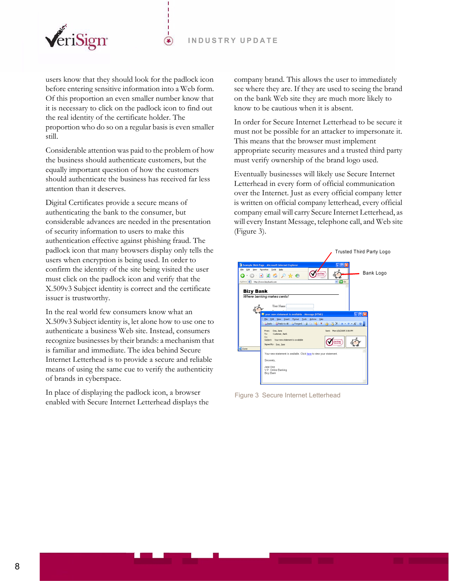

users know that they should look for the padlock icon before entering sensitive information into a Web form. Of this proportion an even smaller number know that it is necessary to click on the padlock icon to find out the real identity of the certificate holder. The proportion who do so on a regular basis is even smaller still.

 $(\bullet)$ 

Considerable attention was paid to the problem of how the business should authenticate customers, but the equally important question of how the customers should authenticate the business has received far less attention than it deserves.

Digital Certificates provide a secure means of authenticating the bank to the consumer, but considerable advances are needed in the presentation of security information to users to make this authentication effective against phishing fraud. The padlock icon that many browsers display only tells the users when encryption is being used. In order to confirm the identity of the site being visited the user must click on the padlock icon and verify that the X.509v3 Subject identity is correct and the certificate issuer is trustworthy.

In the real world few consumers know what an X.509v3 Subject identity is, let alone how to use one to authenticate a business Web site. Instead, consumers recognize businesses by their brands: a mechanism that is familiar and immediate. The idea behind Secure Internet Letterhead is to provide a secure and reliable means of using the same cue to verify the authenticity of brands in cyberspace.

In place of displaying the padlock icon, a browser enabled with Secure Internet Letterhead displays the company brand. This allows the user to immediately see where they are. If they are used to seeing the brand on the bank Web site they are much more likely to know to be cautious when it is absent.

In order for Secure Internet Letterhead to be secure it must not be possible for an attacker to impersonate it. This means that the browser must implement appropriate security measures and a trusted third party must verify ownership of the brand logo used.

Eventually businesses will likely use Secure Internet Letterhead in every form of official communication over the Internet. Just as every official company letter is written on official company letterhead, every official company email will carry Secure Internet Letterhead, as will every Instant Message, telephone call, and Web site ([Figure 3\)](#page-7-0).

<span id="page-7-0"></span>

Figure 3 Secure Internet Letterhead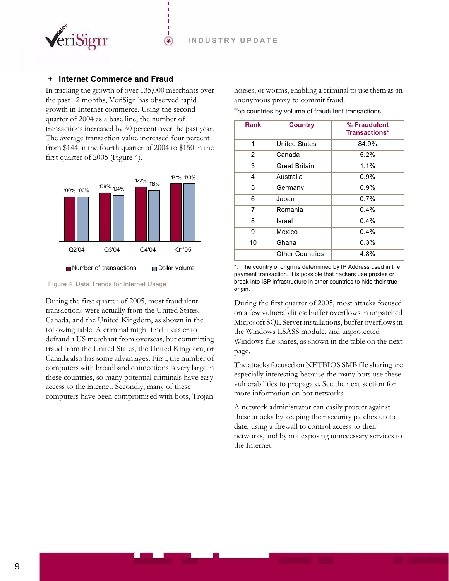

## <span id="page-8-0"></span>**Internet Commerce and Fraud**

In tracking the growth of over 135,000 merchants over the past 12 months, VeriSign has observed rapid growth in Internet commerce. Using the second quarter of 2004 as a base line, the number of transactions increased by 30 percent over the past year. The average transaction value increased four percent from \$144 in the fourth quarter of 2004 to \$150 in the first quarter of 2005 [\(Figure 4\)](#page-8-1).

⊕



<span id="page-8-1"></span>Figure 4 Data Trends for Internet Usage

During the first quarter of 2005, most fraudulent transactions were actually from the United States, Canada, and the United Kingdom, as shown in the following table. A criminal might find it easier to defraud a US merchant from overseas, but committing fraud from the United States, the United Kingdom, or Canada also has some advantages. First, the number of computers with broadband connections is very large in these countries, so many potential criminals have easy access to the internet. Secondly, many of these computers have been compromised with bots, Trojan

horses, or worms, enabling a criminal to use them as an anonymous proxy to commit fraud.

|  |  |  |  |  |  | Top countries by volume of fraudulent transactions |  |  |
|--|--|--|--|--|--|----------------------------------------------------|--|--|
|--|--|--|--|--|--|----------------------------------------------------|--|--|

| <b>Rank</b>    | <b>Country</b>         | % Fraudulent<br><b>Transactions*</b> |  |  |
|----------------|------------------------|--------------------------------------|--|--|
| 1              | <b>United States</b>   | 84.9%                                |  |  |
| $\overline{2}$ | Canada                 | $5.2\%$                              |  |  |
| 3              | <b>Great Britain</b>   | 1.1%                                 |  |  |
| 4              | Australia              | $0.9\%$                              |  |  |
| 5              | Germany                | 0.9%                                 |  |  |
| 6              | Japan                  | 0.7%                                 |  |  |
| 7              | Romania                | $0.4\%$                              |  |  |
| 8              | Israel                 | $0.4\%$                              |  |  |
| 9              | Mexico                 | 0.4%                                 |  |  |
| 10             | Ghana                  | 0.3%                                 |  |  |
|                | <b>Other Countries</b> | 4.8%                                 |  |  |

\*. The country of origin is determined by IP Address used in the payment transaction. It is possible that hackers use proxies or break into ISP infrastructure in other countries to hide their true origin.

During the first quarter of 2005, most attacks focused on a few vulnerabilities: buffer overflows in unpatched Microsoft SQL Server installations, buffer overflows in the Windows LSASS module, and unprotected Windows file shares, as shown in the table on the next page.

The attacks focused on NETBIOS SMB file sharing are especially interesting because the many bots use these vulnerabilities to propagate. See the next section for more information on bot networks.

A network administrator can easily protect against these attacks by keeping their security patches up to date, using a firewall to control access to their networks, and by not exposing unnecessary services to the Internet.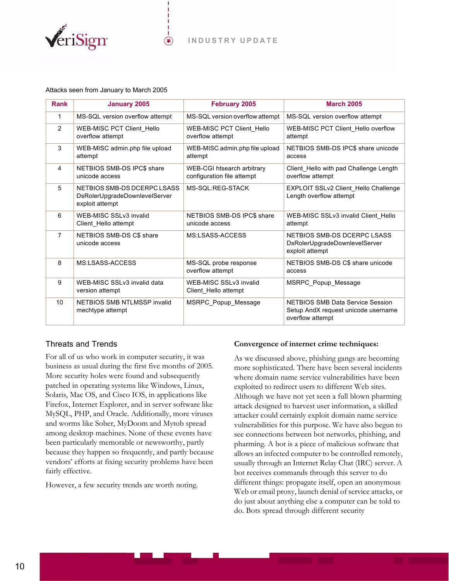

⊕

#### Attacks seen from January to March 2005

| <b>Rank</b>    | <b>January 2005</b>                                                             | <b>February 2005</b>                                     | <b>March 2005</b>                                                                                  |
|----------------|---------------------------------------------------------------------------------|----------------------------------------------------------|----------------------------------------------------------------------------------------------------|
| 1              | MS-SQL version overflow attempt                                                 | MS-SQL version overflow attempt                          | MS-SQL version overflow attempt                                                                    |
| $\overline{2}$ | WEB-MISC PCT Client_Hello<br>overflow attempt                                   | <b>WEB-MISC PCT Client Hello</b><br>overflow attempt     | WEB-MISC PCT Client Hello overflow<br>attempt                                                      |
| 3              | WEB-MISC admin.php file upload<br>attempt                                       | WEB-MISC admin.php file upload<br>attempt                | NETBIOS SMB-DS IPC\$ share unicode<br>access                                                       |
| $\overline{4}$ | NETBIOS SMB-DS IPC\$ share<br>unicode access                                    | WEB-CGI htsearch arbitrary<br>configuration file attempt | Client_Hello with pad Challenge Length<br>overflow attempt                                         |
| 5              | NETBIOS SMB-DS DCERPC LSASS<br>DsRolerUpgradeDownlevelServer<br>exploit attempt | MS-SQL:REG-STACK                                         | EXPLOIT SSLv2 Client_Hello Challenge<br>Length overflow attempt                                    |
| 6              | WEB-MISC SSLv3 invalid<br>Client Hello attempt                                  | NETBIOS SMB-DS IPC\$ share<br>unicode access             | WEB-MISC SSLv3 invalid Client Hello<br>attempt                                                     |
| $\overline{7}$ | NETBIOS SMB-DS C\$ share<br>unicode access                                      | MS:LSASS-ACCESS                                          | NETBIOS SMB-DS DCERPC LSASS<br>DsRolerUpgradeDownlevelServer<br>exploit attempt                    |
| 8              | MS:LSASS-ACCESS                                                                 | MS-SQL probe response<br>overflow attempt                | NETBIOS SMB-DS C\$ share unicode<br>access                                                         |
| 9              | WEB-MISC SSLv3 invalid data<br>version attempt                                  | WEB-MISC SSLv3 invalid<br>Client_Hello attempt           | MSRPC Popup Message                                                                                |
| 10             | NETBIOS SMB NTLMSSP invalid<br>mechtype attempt                                 | MSRPC_Popup_Message                                      | <b>NETBIOS SMB Data Service Session</b><br>Setup AndX request unicode username<br>overflow attempt |

## <span id="page-9-0"></span>Threats and Trends

For all of us who work in computer security, it was business as usual during the first five months of 2005. More security holes were found and subsequently patched in operating systems like Windows, Linux, Solaris, Mac OS, and Cisco IOS, in applications like Firefox, Internet Explorer, and in server software like MySQL, PHP, and Oracle. Additionally, more viruses and worms like Sober, MyDoom and Mytob spread among desktop machines. None of these events have been particularly memorable or newsworthy, partly because they happen so frequently, and partly because vendors' efforts at fixing security problems have been fairly effective.

However, a few security trends are worth noting.

#### **Convergence of internet crime techniques:**

As we discussed above, phishing gangs are becoming more sophisticated. There have been several incidents where domain name service vulnerabilities have been exploited to redirect users to different Web sites. Although we have not yet seen a full blown pharming attack designed to harvest user information, a skilled attacker could certainly exploit domain name service vulnerabilities for this purpose. We have also begun to see connections between bot networks, phishing, and pharming. A bot is a piece of malicious software that allows an infected computer to be controlled remotely, usually through an Internet Relay Chat (IRC) server. A bot receives commands through this server to do different things: propagate itself, open an anonymous Web or email proxy, launch denial of service attacks, or do just about anything else a computer can be told to do. Bots spread through different security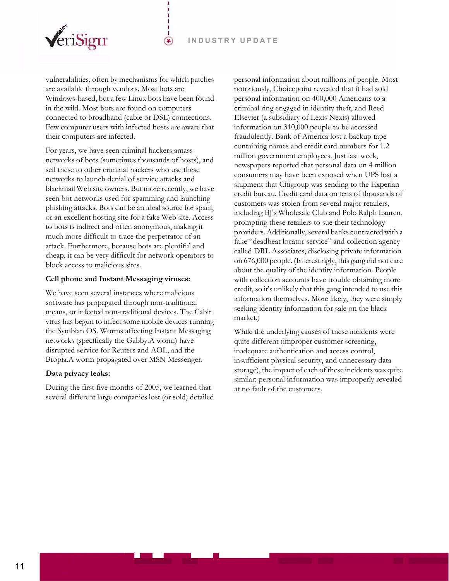

vulnerabilities, often by mechanisms for which patches are available through vendors. Most bots are Windows-based, but a few Linux bots have been found in the wild. Most bots are found on computers connected to broadband (cable or DSL) connections. Few computer users with infected hosts are aware that their computers are infected.

 $(\bullet)$ 

For years, we have seen criminal hackers amass networks of bots (sometimes thousands of hosts), and sell these to other criminal hackers who use these networks to launch denial of service attacks and blackmail Web site owners. But more recently, we have seen bot networks used for spamming and launching phishing attacks. Bots can be an ideal source for spam, or an excellent hosting site for a fake Web site. Access to bots is indirect and often anonymous, making it much more difficult to trace the perpetrator of an attack. Furthermore, because bots are plentiful and cheap, it can be very difficult for network operators to block access to malicious sites.

#### **Cell phone and Instant Messaging viruses:**

We have seen several instances where malicious software has propagated through non-traditional means, or infected non-traditional devices. The Cabir virus has begun to infect some mobile devices running the Symbian OS. Worms affecting Instant Messaging networks (specifically the Gabby.A worm) have disrupted service for Reuters and AOL, and the Bropia.A worm propagated over MSN Messenger.

#### **Data privacy leaks:**

During the first five months of 2005, we learned that several different large companies lost (or sold) detailed personal information about millions of people. Most notoriously, Choicepoint revealed that it had sold personal information on 400,000 Americans to a criminal ring engaged in identity theft, and Reed Elsevier (a subsidiary of Lexis Nexis) allowed information on 310,000 people to be accessed fraudulently. Bank of America lost a backup tape containing names and credit card numbers for 1.2 million government employees. Just last week, newspapers reported that personal data on 4 million consumers may have been exposed when UPS lost a shipment that Citigroup was sending to the Experian credit bureau. Credit card data on tens of thousands of customers was stolen from several major retailers, including BJ's Wholesale Club and Polo Ralph Lauren, prompting these retailers to sue their technology providers. Additionally, several banks contracted with a fake "deadbeat locator service" and collection agency called DRL Associates, disclosing private information on 676,000 people. (Interestingly, this gang did not care about the quality of the identity information. People with collection accounts have trouble obtaining more credit, so it's unlikely that this gang intended to use this information themselves. More likely, they were simply seeking identity information for sale on the black market.)

While the underlying causes of these incidents were quite different (improper customer screening, inadequate authentication and access control, insufficient physical security, and unnecessary data storage), the impact of each of these incidents was quite similar: personal information was improperly revealed at no fault of the customers.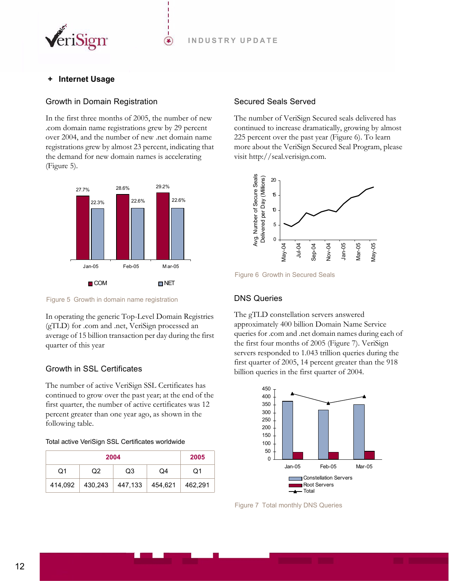

## <span id="page-11-0"></span>**Internet Usage**

#### <span id="page-11-1"></span>Growth in Domain Registration

In the first three months of 2005, the number of new .com domain name registrations grew by 29 percent over 2004, and the number of new .net domain name registrations grew by almost 23 percent, indicating that the demand for new domain names is accelerating [\(Figure 5\)](#page-11-5).

⊛



<span id="page-11-5"></span>Figure 5 Growth in domain name registration

In operating the generic Top-Level Domain Registries (gTLD) for .com and .net, VeriSign processed an average of 15 billion transaction per day during the first quarter of this year

## <span id="page-11-2"></span>Growth in SSL Certificates

The number of active VeriSign SSL Certificates has continued to grow over the past year; at the end of the first quarter, the number of active certificates was 12 percent greater than one year ago, as shown in the following table.

#### Total active VeriSign SSL Certificates worldwide

|         | 2005              |                 |          |         |
|---------|-------------------|-----------------|----------|---------|
| O1      | Q2                | Q3              | $\Omega$ | O1      |
| 414,092 | $ 430,243\rangle$ | 447,133 454,621 |          | 462.291 |

#### <span id="page-11-3"></span>Secured Seals Served

The number of VeriSign Secured seals delivered has continued to increase dramatically, growing by almost 225 percent over the past year [\(Figure 6](#page-11-6)). To learn [more about the VeriSign Secured Seal Program, please](http://seal.verisign.com)  [visit http://seal.verisign.com.](http://seal.verisign.com)



<span id="page-11-6"></span>Figure 6 Growth in Secured Seals

## <span id="page-11-4"></span>DNS Queries

The gTLD constellation servers answered approximately 400 billion Domain Name Service queries for .com and .net domain names during each of the first four months of 2005 ([Figure 7](#page-11-7)). VeriSign servers responded to 1.043 trillion queries during the first quarter of 2005, 14 percent greater than the 918 billion queries in the first quarter of 2004.



<span id="page-11-7"></span>Figure 7 Total monthly DNS Queries